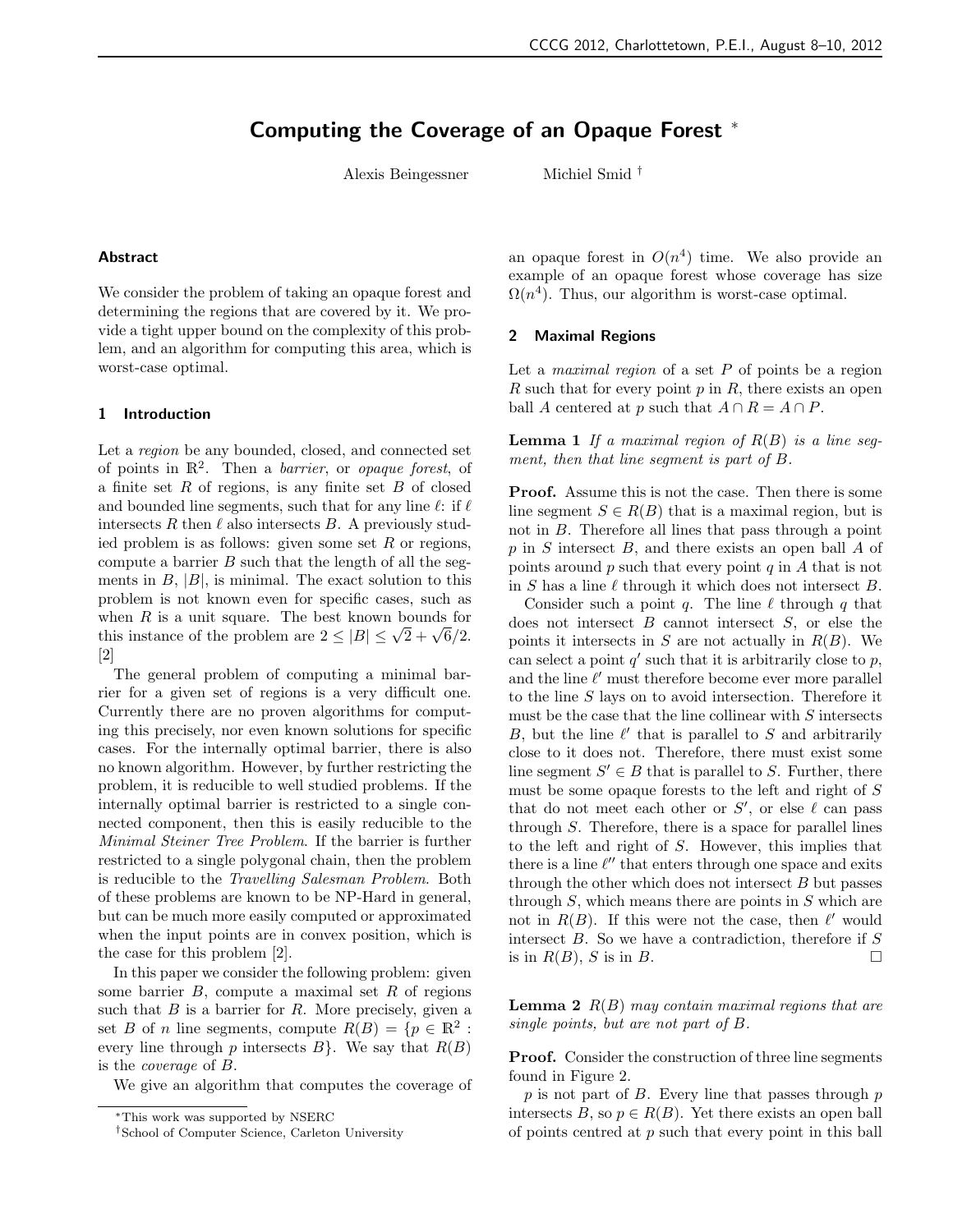# Computing the Coverage of an Opaque Forest <sup>∗</sup>

Alexis Beingessner Michiel Smid †

#### Abstract

We consider the problem of taking an opaque forest and determining the regions that are covered by it. We provide a tight upper bound on the complexity of this problem, and an algorithm for computing this area, which is worst-case optimal.

#### 1 Introduction

Let a region be any bounded, closed, and connected set of points in  $\mathbb{R}^2$ . Then a *barrier*, or *opaque forest*, of a finite set  $R$  of regions, is any finite set  $B$  of closed and bounded line segments, such that for any line  $\ell$ : if  $\ell$ intersects R then  $\ell$  also intersects B. A previously studied problem is as follows: given some set  $R$  or regions, compute a barrier  $B$  such that the length of all the segments in  $B$ ,  $|B|$ , is minimal. The exact solution to this problem is not known even for specific cases, such as when  $R$  is a unit square. The best known bounds for which is a dame square. The seed misun sounds for [2]

The general problem of computing a minimal barrier for a given set of regions is a very difficult one. Currently there are no proven algorithms for computing this precisely, nor even known solutions for specific cases. For the internally optimal barrier, there is also no known algorithm. However, by further restricting the problem, it is reducible to well studied problems. If the internally optimal barrier is restricted to a single connected component, then this is easily reducible to the Minimal Steiner Tree Problem. If the barrier is further restricted to a single polygonal chain, then the problem is reducible to the Travelling Salesman Problem. Both of these problems are known to be NP-Hard in general, but can be much more easily computed or approximated when the input points are in convex position, which is the case for this problem [2].

In this paper we consider the following problem: given some barrier  $B$ , compute a maximal set  $R$  of regions such that  $B$  is a barrier for  $R$ . More precisely, given a set B of n line segments, compute  $R(B) = \{p \in \mathbb{R}^2 :$ every line through p intersects  $B$ . We say that  $R(B)$ is the coverage of B.

We give an algorithm that computes the coverage of

an opaque forest in  $O(n^4)$  time. We also provide an example of an opaque forest whose coverage has size  $\Omega(n^4)$ . Thus, our algorithm is worst-case optimal.

#### 2 Maximal Regions

Let a *maximal region* of a set  $P$  of points be a region R such that for every point  $p$  in  $R$ , there exists an open ball A centered at p such that  $A \cap R = A \cap P$ .

**Lemma 1** If a maximal region of  $R(B)$  is a line segment, then that line segment is part of B.

Proof. Assume this is not the case. Then there is some line segment  $S \in R(B)$  that is a maximal region, but is not in B. Therefore all lines that pass through a point  $p$  in  $S$  intersect  $B$ , and there exists an open ball  $A$  of points around  $p$  such that every point  $q$  in  $A$  that is not in S has a line  $\ell$  through it which does not intersect B.

Consider such a point q. The line  $\ell$  through q that does not intersect  $B$  cannot intersect  $S$ , or else the points it intersects in  $S$  are not actually in  $R(B)$ . We can select a point  $q'$  such that it is arbitrarily close to  $p$ , and the line  $\ell'$  must therefore become ever more parallel to the line S lays on to avoid intersection. Therefore it must be the case that the line collinear with  $S$  intersects  $B$ , but the line  $\ell'$  that is parallel to S and arbitrarily close to it does not. Therefore, there must exist some line segment  $S' \in B$  that is parallel to S. Further, there must be some opaque forests to the left and right of S that do not meet each other or  $S'$ , or else  $\ell$  can pass through  $S$ . Therefore, there is a space for parallel lines to the left and right of S. However, this implies that there is a line  $\ell''$  that enters through one space and exits through the other which does not intersect B but passes through  $S$ , which means there are points in  $S$  which are not in  $R(B)$ . If this were not the case, then  $\ell'$  would intersect  $B$ . So we have a contradiction, therefore if  $S$ is in  $R(B)$ , S is in B.

**Lemma 2**  $R(B)$  may contain maximal regions that are single points, but are not part of B.

**Proof.** Consider the construction of three line segments found in Figure 2.

 $p$  is not part of  $B$ . Every line that passes through  $p$ intersects B, so  $p \in R(B)$ . Yet there exists an open ball of points centred at  $p$  such that every point in this ball

<sup>∗</sup>This work was supported by NSERC

<sup>†</sup>School of Computer Science, Carleton University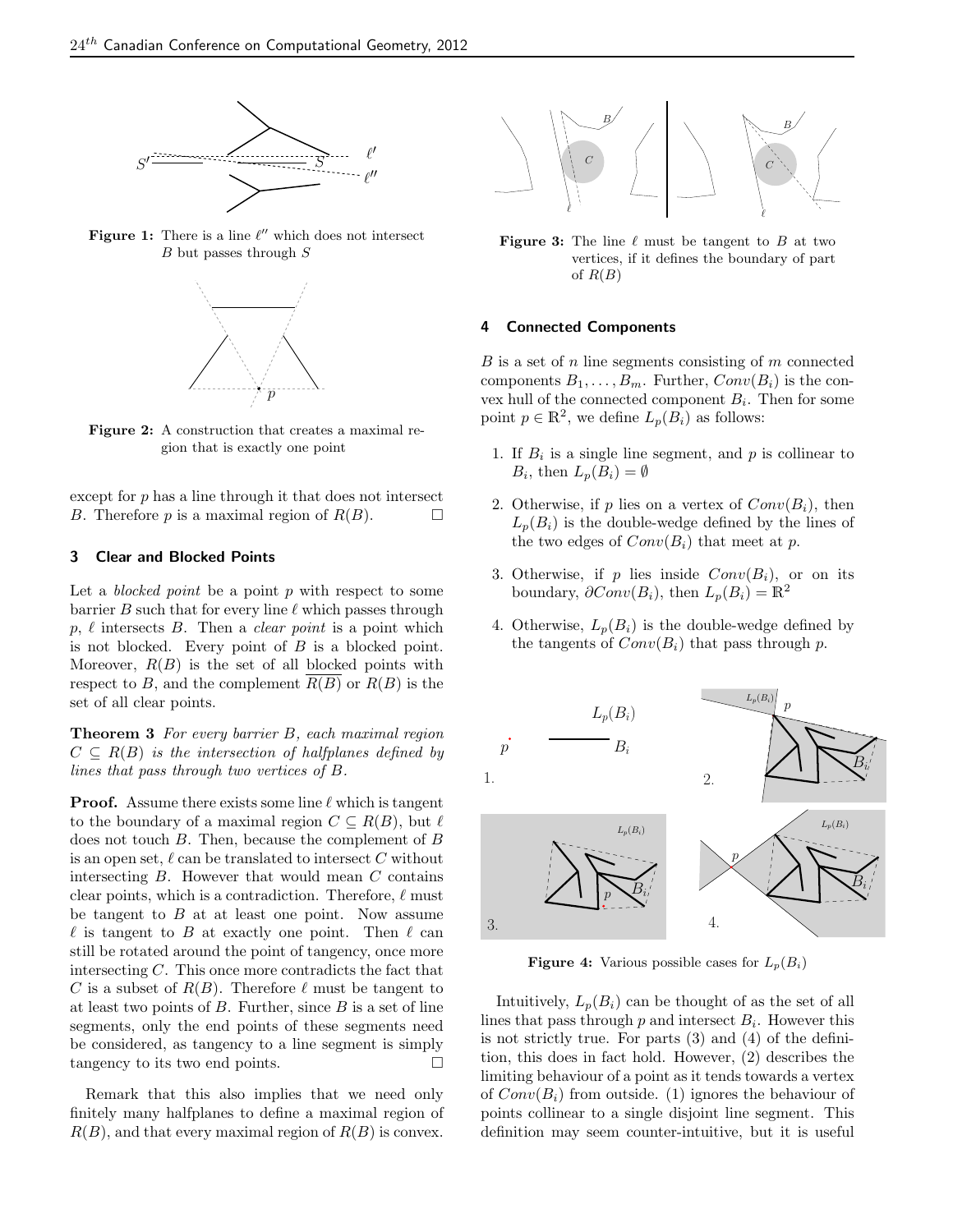

Figure 1: There is a line  $\ell''$  which does not intersect  $B$  but passes through  $S$ 



Figure 2: A construction that creates a maximal region that is exactly one point

except for  $p$  has a line through it that does not intersect B. Therefore p is a maximal region of  $R(B)$ .

### 3 Clear and Blocked Points

Let a *blocked point* be a point  $p$  with respect to some barrier B such that for every line  $\ell$  which passes through  $p, \ell$  intersects B. Then a *clear point* is a point which is not blocked. Every point of  $B$  is a blocked point. Moreover,  $R(B)$  is the set of all blocked points with respect to B, and the complement  $R(B)$  or  $R(B)$  is the set of all clear points.

**Theorem 3** For every barrier  $B$ , each maximal region  $C \subseteq R(B)$  is the intersection of halfplanes defined by lines that pass through two vertices of B.

**Proof.** Assume there exists some line  $\ell$  which is tangent to the boundary of a maximal region  $C \subseteq R(B)$ , but  $\ell$ does not touch  $B$ . Then, because the complement of  $B$ is an open set,  $\ell$  can be translated to intersect C without intersecting  $B$ . However that would mean  $C$  contains clear points, which is a contradiction. Therefore,  $\ell$  must be tangent to  $B$  at at least one point. Now assume  $\ell$  is tangent to B at exactly one point. Then  $\ell$  can still be rotated around the point of tangency, once more intersecting C. This once more contradicts the fact that C is a subset of  $R(B)$ . Therefore  $\ell$  must be tangent to at least two points of  $B$ . Further, since  $B$  is a set of line segments, only the end points of these segments need be considered, as tangency to a line segment is simply tangency to its two end points.

Remark that this also implies that we need only finitely many halfplanes to define a maximal region of  $R(B)$ , and that every maximal region of  $R(B)$  is convex.



**Figure 3:** The line  $\ell$  must be tangent to B at two vertices, if it defines the boundary of part of  $R(B)$ 

# 4 Connected Components

 $B$  is a set of  $n$  line segments consisting of  $m$  connected components  $B_1, \ldots, B_m$ . Further,  $Conv(B_i)$  is the convex hull of the connected component  $B_i$ . Then for some point  $p \in \mathbb{R}^2$ , we define  $L_p(B_i)$  as follows:

- 1. If  $B_i$  is a single line segment, and  $p$  is collinear to  $B_i$ , then  $L_p(B_i) = \emptyset$
- 2. Otherwise, if p lies on a vertex of  $Conv(B_i)$ , then  $L_p(B_i)$  is the double-wedge defined by the lines of the two edges of  $Conv(B_i)$  that meet at p.
- 3. Otherwise, if p lies inside  $Conv(B_i)$ , or on its boundary,  $\partial Conv(B_i)$ , then  $L_p(B_i) = \mathbb{R}^2$
- 4. Otherwise,  $L_p(B_i)$  is the double-wedge defined by the tangents of  $Conv(B_i)$  that pass through p.



**Figure 4:** Various possible cases for  $L_p(B_i)$ 

Intuitively,  $L_p(B_i)$  can be thought of as the set of all lines that pass through  $p$  and intersect  $B_i$ . However this is not strictly true. For parts (3) and (4) of the definition, this does in fact hold. However, (2) describes the limiting behaviour of a point as it tends towards a vertex of  $Conv(B_i)$  from outside. (1) ignores the behaviour of points collinear to a single disjoint line segment. This definition may seem counter-intuitive, but it is useful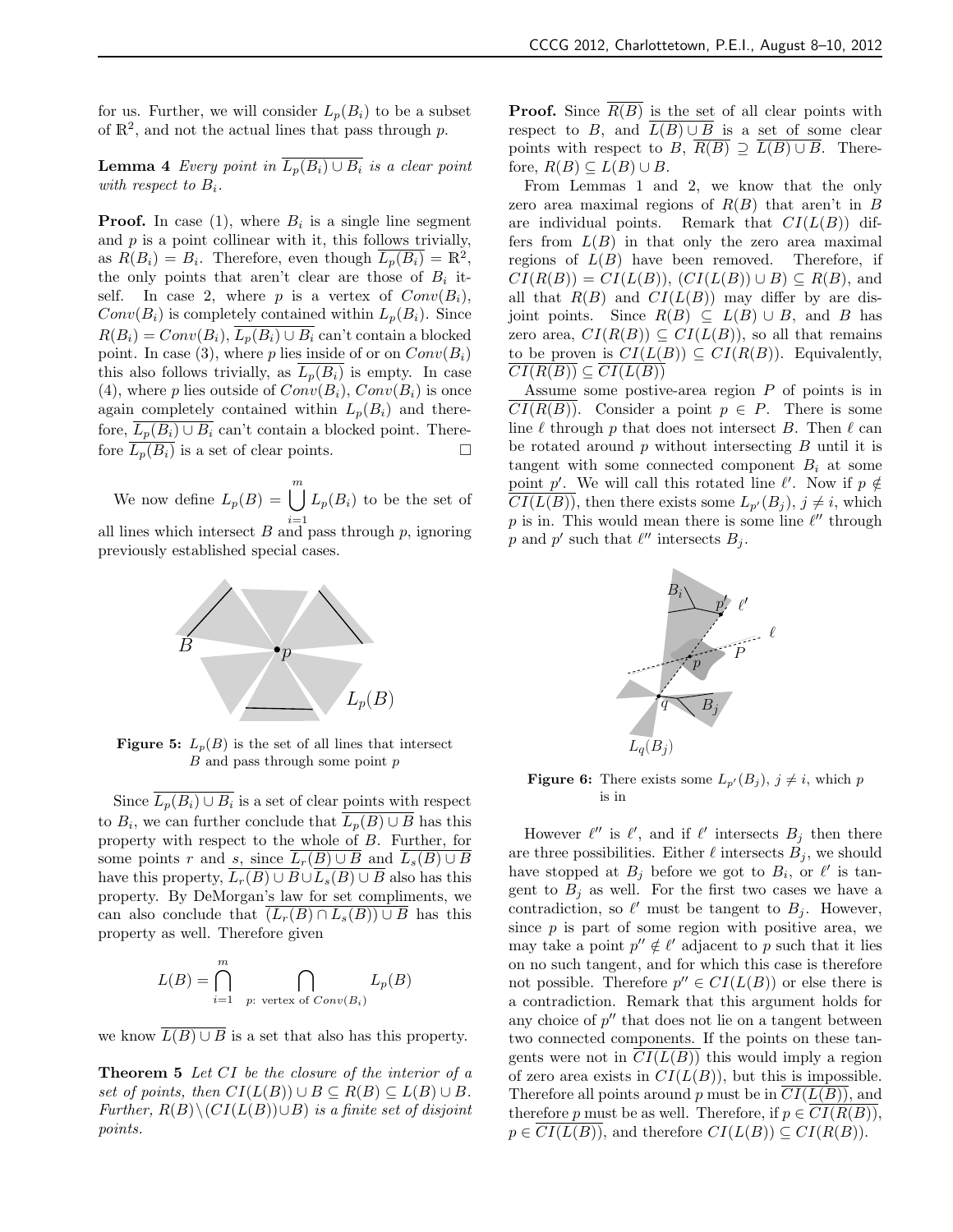for us. Further, we will consider  $L_p(B_i)$  to be a subset of  $\mathbb{R}^2$ , and not the actual lines that pass through p.

**Lemma 4** Every point in  $\overline{L_p(B_i) \cup B_i}$  is a clear point with respect to  $B_i$ .

**Proof.** In case  $(1)$ , where  $B_i$  is a single line segment and  $p$  is a point collinear with it, this follows trivially, as  $R(B_i) = B_i$ . Therefore, even though  $\overline{L_p(B_i)} = \mathbb{R}^2$ , the only points that aren't clear are those of  $B_i$  itself. In case 2, where p is a vertex of  $Conv(B_i)$ ,  $Conv(B_i)$  is completely contained within  $L_p(B_i)$ . Since  $R(B_i) = Conv(B_i), \overline{L_n(B_i) \cup B_i}$  can't contain a blocked point. In case (3), where p lies inside of or on  $Conv(B_i)$ this also follows trivially, as  $L_p(B_i)$  is empty. In case (4), where p lies outside of  $Conv(B_i)$ ,  $Conv(B_i)$  is once again completely contained within  $L_p(B_i)$  and therefore,  $L_p(B_i) \cup B_i$  can't contain a blocked point. There-<br>fore  $\overline{L_n(B_i)}$  is a set of clear points. fore  $L_p(B_i)$  is a set of clear points.

We now define  $L_p(B) = \bigcup^m$  $i=1$  $L_p(B_i)$  to be the set of all lines which intersect  $B$  and pass through  $p$ , ignoring previously established special cases.



**Figure 5:**  $L_p(B)$  is the set of all lines that intersect  $B$  and pass through some point  $p$ 

Since  $L_p(B_i) \cup B_i$  is a set of clear <u>points with</u> respect to  $B_i$ , we can further conclude that  $L_p(B) \cup B$  has this property with respect to the whole of B. Further, for some points r and s, since  $L_r(B) \cup B$  and  $L_s(B) \cup B$ have this property,  $L_r(B) \cup B \cup L_s(B) \cup B$  also has this property. By DeMorgan's law for set compliments, we can also conclude that  $(L_r(B) \cap L_s(B)) \cup B$  has this property as well. Therefore given

$$
L(B) = \bigcap_{i=1}^{m} \bigcap_{p:\text{ vertex of } Conv(B_i)} L_p(B)
$$

we know  $\overline{L(B) \cup B}$  is a set that also has this property.

Theorem 5 Let CI be the closure of the interior of a set of points, then  $CI(L(B)) \cup B \subseteq R(B) \subseteq L(B) \cup B$ . Further,  $R(B) \setminus (CI(L(B)) \cup B)$  is a finite set of disjoint points.

**Proof.** Since  $\overline{R(B)}$  is the set of all clear points with respect to B, and  $L(B) \cup B$  is a set of some clear points with respect to B,  $R(B) \supseteq L(B) \cup B$ . Therefore,  $R(B) \subseteq L(B) \cup B$ .

From Lemmas 1 and 2, we know that the only zero area maximal regions of  $R(B)$  that aren't in B are individual points. Remark that  $CI(L(B))$  differs from  $L(B)$  in that only the zero area maximal regions of  $L(B)$  have been removed. Therefore, if  $CI(R(B)) = CI(L(B))$ ,  $CI(L(B)) \cup B \subseteq R(B)$ , and all that  $R(B)$  and  $CI(L(B))$  may differ by are disjoint points. Since  $R(B) \subseteq L(B) \cup B$ , and B has zero area,  $CI(R(B)) \subseteq CI(L(B))$ , so all that remains to be proven is  $CI(L(B)) \subseteq CI(R(B))$ . Equivalently,  $CI(R(B)) \subseteq CI(L(B))$ 

Assume some postive-area region P of points is in  $\overline{CI(R(B))}$ . Consider a point  $p \in P$ . There is some line  $\ell$  through p that does not intersect B. Then  $\ell$  can be rotated around  $p$  without intersecting  $B$  until it is tangent with some connected component  $B_i$  at some point p'. We will call this rotated line  $\ell'$ . Now if  $p \notin$  $CI(L(B))$ , then there exists some  $L_{p'}(B_j)$ ,  $j \neq i$ , which p is in. This would mean there is some line  $\ell''$  through p and p' such that  $\ell''$  intersects  $B_j$ .



**Figure 6:** There exists some  $L_{p'}(B_j)$ ,  $j \neq i$ , which p is in

However  $\ell''$  is  $\ell'$ , and if  $\ell'$  intersects  $B_j$  then there are three possibilities. Either  $\ell$  intersects  $B_i$ , we should have stopped at  $B_j$  before we got to  $B_i$ , or  $\ell'$  is tangent to  $B_j$  as well. For the first two cases we have a contradiction, so  $\ell'$  must be tangent to  $B_j$ . However, since  $p$  is part of some region with positive area, we may take a point  $p'' \notin \ell'$  adjacent to p such that it lies on no such tangent, and for which this case is therefore not possible. Therefore  $p'' \in CI(L(B))$  or else there is a contradiction. Remark that this argument holds for any choice of  $p''$  that does not lie on a tangent between two connected components. If the points on these tangents were not in  $CI(L(B))$  this would imply a region of zero area exists in  $CI(L(B))$ , but this is impossible. Therefore all points around  $p$  must be in  $CI(L(B))$ , and therefore p must be as well. Therefore, if  $p \in CI(R(B)),$  $p \in CI(L(B))$ , and therefore  $CI(L(B)) \subseteq CI(R(B))$ .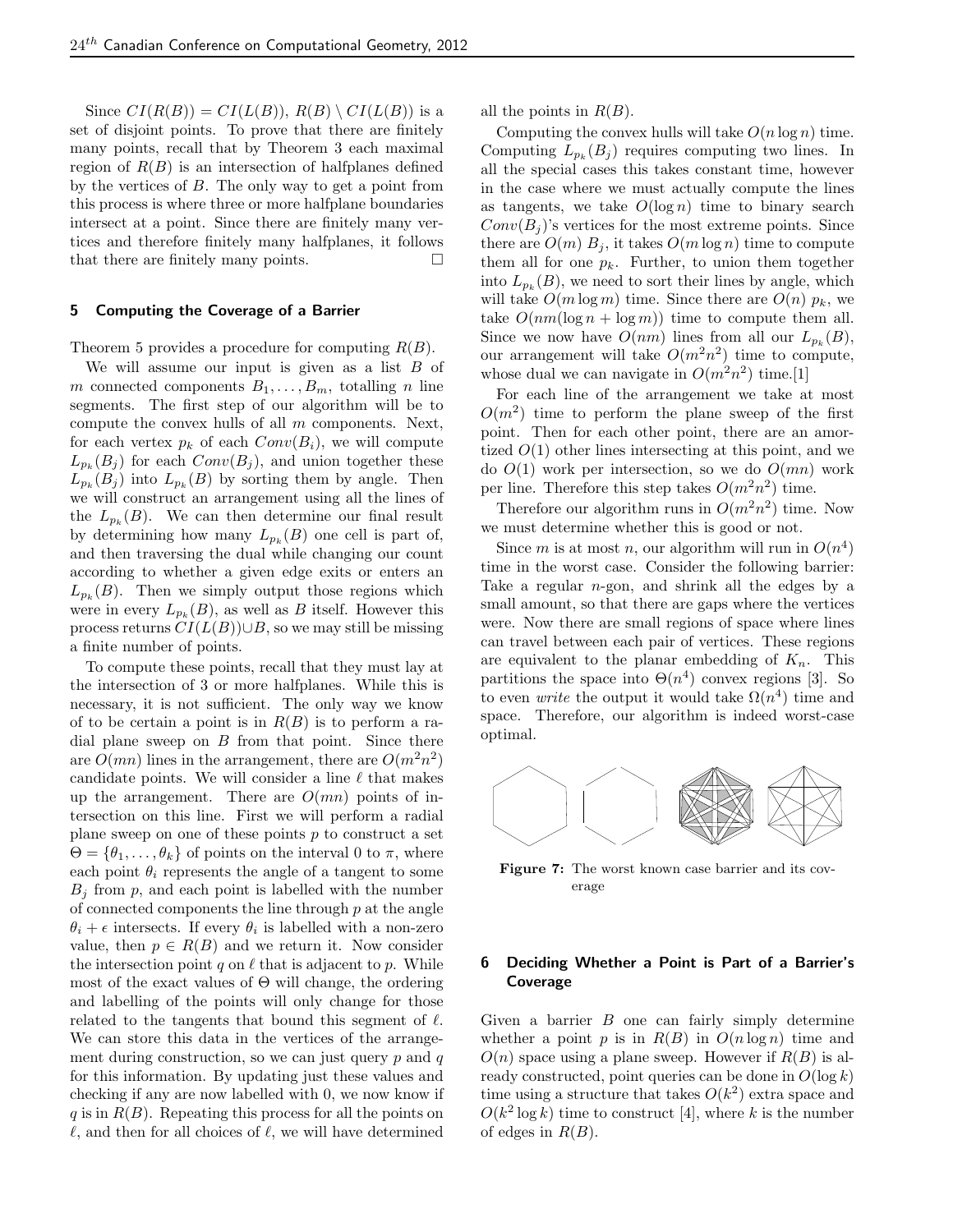Since  $CI(R(B)) = CI(L(B)), R(B) \setminus CI(L(B))$  is a set of disjoint points. To prove that there are finitely many points, recall that by Theorem 3 each maximal region of  $R(B)$  is an intersection of halfplanes defined by the vertices of  $B$ . The only way to get a point from this process is where three or more halfplane boundaries intersect at a point. Since there are finitely many vertices and therefore finitely many halfplanes, it follows that there are finitely many points.  $\square$ 

#### 5 Computing the Coverage of a Barrier

Theorem 5 provides a procedure for computing  $R(B)$ .

We will assume our input is given as a list  $B$  of m connected components  $B_1, \ldots, B_m$ , totalling n line segments. The first step of our algorithm will be to compute the convex hulls of all  $m$  components. Next, for each vertex  $p_k$  of each  $Conv(B_i)$ , we will compute  $L_{p_k}(B_j)$  for each  $Conv(B_j)$ , and union together these  $L_{p_k}(B_j)$  into  $L_{p_k}(B)$  by sorting them by angle. Then we will construct an arrangement using all the lines of the  $L_{p_k}(B)$ . We can then determine our final result by determining how many  $L_{p_k}(B)$  one cell is part of, and then traversing the dual while changing our count according to whether a given edge exits or enters an  $L_{p_k}(B)$ . Then we simply output those regions which were in every  $L_{p_k}(B)$ , as well as B itself. However this process returns  $CI(L(B)) \cup B$ , so we may still be missing a finite number of points.

To compute these points, recall that they must lay at the intersection of 3 or more halfplanes. While this is necessary, it is not sufficient. The only way we know of to be certain a point is in  $R(B)$  is to perform a radial plane sweep on  $B$  from that point. Since there are  $O(mn)$  lines in the arrangement, there are  $O(m^2n^2)$ candidate points. We will consider a line  $\ell$  that makes up the arrangement. There are  $O(mn)$  points of intersection on this line. First we will perform a radial plane sweep on one of these points  $p$  to construct a set  $\Theta = {\theta_1, \ldots, \theta_k}$  of points on the interval 0 to  $\pi$ , where each point  $\theta_i$  represents the angle of a tangent to some  $B_i$  from p, and each point is labelled with the number of connected components the line through  $p$  at the angle  $\theta_i + \epsilon$  intersects. If every  $\theta_i$  is labelled with a non-zero value, then  $p \in R(B)$  and we return it. Now consider the intersection point q on  $\ell$  that is adjacent to p. While most of the exact values of  $\Theta$  will change, the ordering and labelling of the points will only change for those related to the tangents that bound this segment of  $\ell$ . We can store this data in the vertices of the arrangement during construction, so we can just query  $p$  and  $q$ for this information. By updating just these values and checking if any are now labelled with 0, we now know if  $q$  is in  $R(B)$ . Repeating this process for all the points on  $\ell$ , and then for all choices of  $\ell$ , we will have determined all the points in  $R(B)$ .

Computing the convex hulls will take  $O(n \log n)$  time. Computing  $L_{p_k}(B_j)$  requires computing two lines. In all the special cases this takes constant time, however in the case where we must actually compute the lines as tangents, we take  $O(\log n)$  time to binary search  $Conv(B_i)$ 's vertices for the most extreme points. Since there are  $O(m) B_i$ , it takes  $O(m \log n)$  time to compute them all for one  $p_k$ . Further, to union them together into  $L_{p_k}(B)$ , we need to sort their lines by angle, which will take  $O(m \log m)$  time. Since there are  $O(n)$   $p_k$ , we take  $O(nm(\log n + \log m))$  time to compute them all. Since we now have  $O(nm)$  lines from all our  $L_{p_k}(B)$ , our arrangement will take  $O(m^2n^2)$  time to compute, whose dual we can navigate in  $O(m^2n^2)$  time.[1]

For each line of the arrangement we take at most  $O(m^2)$  time to perform the plane sweep of the first point. Then for each other point, there are an amortized  $O(1)$  other lines intersecting at this point, and we do  $O(1)$  work per intersection, so we do  $O(mn)$  work per line. Therefore this step takes  $O(m^2n^2)$  time.

Therefore our algorithm runs in  $O(m^2n^2)$  time. Now we must determine whether this is good or not.

Since m is at most n, our algorithm will run in  $O(n^4)$ time in the worst case. Consider the following barrier: Take a regular  $n$ -gon, and shrink all the edges by a small amount, so that there are gaps where the vertices were. Now there are small regions of space where lines can travel between each pair of vertices. These regions are equivalent to the planar embedding of  $K_n$ . This partitions the space into  $\Theta(n^4)$  convex regions [3]. So to even *write* the output it would take  $\Omega(n^4)$  time and space. Therefore, our algorithm is indeed worst-case optimal.



Figure 7: The worst known case barrier and its coverage

# 6 Deciding Whether a Point is Part of a Barrier's Coverage

Given a barrier  $B$  one can fairly simply determine whether a point p is in  $R(B)$  in  $O(n \log n)$  time and  $O(n)$  space using a plane sweep. However if  $R(B)$  is already constructed, point queries can be done in  $O(\log k)$ time using a structure that takes  $O(k^2)$  extra space and  $O(k^2 \log k)$  time to construct [4], where k is the number of edges in  $R(B)$ .